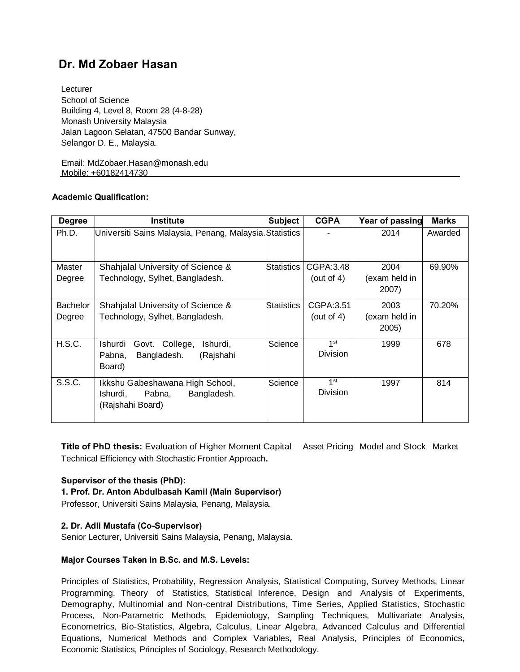# **Dr. Md Zobaer Hasan**

 Lecturer School of Science Building 4, Level 8, Room 28 (4-8-28) Monash University Malaysia Jalan Lagoon Selatan, 47500 Bandar Sunway, Selangor D. E., Malaysia.

 Email: MdZobaer.Hasan@monash.edu Mobile: +60182414730

## **Academic Qualification:**

| <b>Degree</b>   | <b>Institute</b>                                                                         | <b>Subject</b> | <b>CGPA</b>                        | Year of passing        | <b>Marks</b> |
|-----------------|------------------------------------------------------------------------------------------|----------------|------------------------------------|------------------------|--------------|
| Ph.D.           | Universiti Sains Malaysia, Penang, Malaysia. Statistics                                  |                |                                    | 2014                   | Awarded      |
| Master          | Shahjalal University of Science &                                                        | Statistics     | CGPA:3.48                          | 2004                   | 69.90%       |
| Degree          | Technology, Sylhet, Bangladesh.                                                          |                | (out of 4)                         | (exam held in<br>2007) |              |
| <b>Bachelor</b> | Shahjalal University of Science &                                                        | Statistics     | CGPA:3.51                          | 2003                   | 70.20%       |
| Degree          | Technology, Sylhet, Bangladesh.                                                          |                | (out of 4)                         | (exam held in<br>2005) |              |
| H.S.C.          | Ishurdi<br>Govt. College,<br>Ishurdi.<br>(Rajshahi<br>Bangladesh.<br>Pabna,<br>Board)    | Science        | 1 <sup>st</sup><br>Division        | 1999                   | 678          |
| S.S.C.          | Ikkshu Gabeshawana High School,<br>Bangladesh.<br>Ishurdi.<br>Pabna.<br>(Rajshahi Board) | Science        | 1 <sup>st</sup><br><b>Division</b> | 1997                   | 814          |

**Title of PhD thesis:** Evaluation of Higher Moment Capital Asset Pricing Model and Stock Market Technical Efficiency with Stochastic Frontier Approach**.**

## **Supervisor of the thesis (PhD):**

**1. Prof. Dr. Anton Abdulbasah Kamil (Main Supervisor)**

Professor, Universiti Sains Malaysia, Penang, Malaysia.

## **2. Dr. Adli Mustafa (Co-Supervisor)**

Senior Lecturer, Universiti Sains Malaysia, Penang, Malaysia.

## **Major Courses Taken in B.Sc. and M.S. Levels:**

Principles of Statistics, Probability, Regression Analysis, Statistical Computing, Survey Methods, Linear Programming, Theory of Statistics, Statistical Inference, Design and Analysis of Experiments, Demography, Multinomial and Non-central Distributions, Time Series, Applied Statistics, Stochastic Process, Non-Parametric Methods, Epidemiology, Sampling Techniques, Multivariate Analysis, Econometrics, Bio-Statistics, Algebra, Calculus, Linear Algebra, Advanced Calculus and Differential Equations, Numerical Methods and Complex Variables, Real Analysis, Principles of Economics, Economic Statistics, Principles of Sociology, Research Methodology.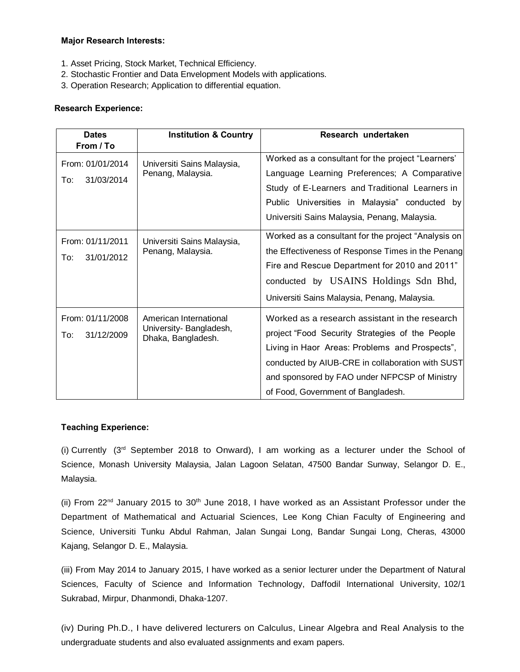#### **Major Research Interests:**

- 1. Asset Pricing, Stock Market, Technical Efficiency.
- 2. Stochastic Frontier and Data Envelopment Models with applications.
- 3. Operation Research; Application to differential equation.

## **Research Experience:**

| <b>Dates</b>      | <b>Institution &amp; Country</b>                | Research undertaken                                 |  |  |  |
|-------------------|-------------------------------------------------|-----------------------------------------------------|--|--|--|
| From / To         |                                                 |                                                     |  |  |  |
| From: 01/01/2014  | Universiti Sains Malaysia,<br>Penang, Malaysia. | Worked as a consultant for the project "Learners"   |  |  |  |
| 31/03/2014<br>To: |                                                 | Language Learning Preferences; A Comparative        |  |  |  |
|                   |                                                 | Study of E-Learners and Traditional Learners in     |  |  |  |
|                   |                                                 | Public Universities in Malaysia" conducted by       |  |  |  |
|                   |                                                 | Universiti Sains Malaysia, Penang, Malaysia.        |  |  |  |
| From: 01/11/2011  | Universiti Sains Malaysia,<br>Penang, Malaysia. | Worked as a consultant for the project "Analysis on |  |  |  |
| 31/01/2012<br>To: |                                                 | the Effectiveness of Response Times in the Penang   |  |  |  |
|                   |                                                 | Fire and Rescue Department for 2010 and 2011"       |  |  |  |
|                   |                                                 | conducted by USAINS Holdings Sdn Bhd,               |  |  |  |
|                   |                                                 | Universiti Sains Malaysia, Penang, Malaysia.        |  |  |  |
| From: 01/11/2008  | American International                          | Worked as a research assistant in the research      |  |  |  |
| To:<br>31/12/2009 | University-Bangladesh,<br>Dhaka, Bangladesh.    | project "Food Security Strategies of the People     |  |  |  |
|                   |                                                 | Living in Haor Areas: Problems and Prospects",      |  |  |  |
|                   |                                                 | conducted by AIUB-CRE in collaboration with SUST    |  |  |  |
|                   |                                                 | and sponsored by FAO under NFPCSP of Ministry       |  |  |  |
|                   |                                                 | of Food, Government of Bangladesh.                  |  |  |  |

## **Teaching Experience:**

(i) Currently  $(3<sup>rd</sup>$  September 2018 to Onward), I am working as a lecturer under the School of Science, Monash University Malaysia, Jalan Lagoon Selatan, 47500 Bandar Sunway, Selangor D. E., Malaysia.

(ii) From 22<sup>nd</sup> January 2015 to 30<sup>th</sup> June 2018, I have worked as an Assistant Professor under the Department of Mathematical and Actuarial Sciences, Lee Kong Chian Faculty of Engineering and Science, Universiti Tunku Abdul Rahman, Jalan Sungai Long, Bandar Sungai Long, Cheras, 43000 Kajang, Selangor D. E., Malaysia.

(iii) From May 2014 to January 2015, I have worked as a senior lecturer under the Department of Natural Sciences, Faculty of Science and Information Technology, Daffodil International University, 102/1 Sukrabad, Mirpur, Dhanmondi, Dhaka-1207.

(iv) During Ph.D., I have delivered lecturers on Calculus, Linear Algebra and Real Analysis to the undergraduate students and also evaluated assignments and exam papers.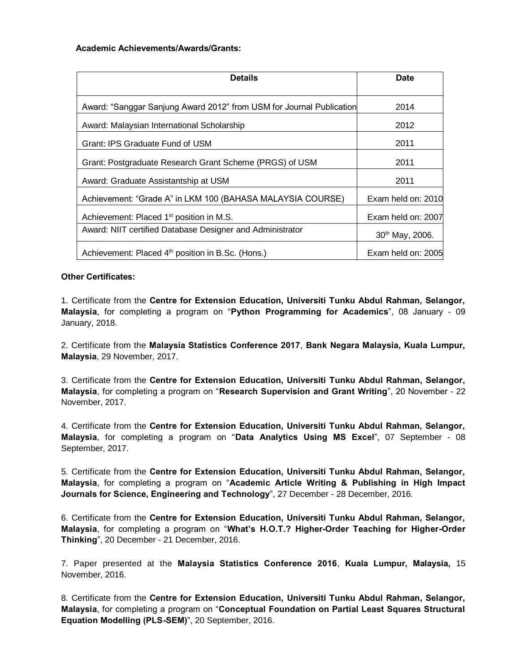#### **Academic Achievements/Awards/Grants:**

| <b>Details</b>                                                       | <b>Date</b>                 |
|----------------------------------------------------------------------|-----------------------------|
| Award: "Sanggar Sanjung Award 2012" from USM for Journal Publication | 2014                        |
| Award: Malaysian International Scholarship                           | 2012                        |
| Grant: IPS Graduate Fund of USM                                      | 2011                        |
| Grant: Postgraduate Research Grant Scheme (PRGS) of USM              | 2011                        |
| Award: Graduate Assistantship at USM                                 | 2011                        |
| Achievement: "Grade A" in LKM 100 (BAHASA MALAYSIA COURSE)           | Exam held on: 2010          |
| Achievement: Placed 1 <sup>st</sup> position in M.S.                 | Exam held on: 2007          |
| Award: NIIT certified Database Designer and Administrator            | 30 <sup>th</sup> May, 2006. |
| Achievement: Placed 4 <sup>th</sup> position in B.Sc. (Hons.)        | Exam held on: 2005          |

## **Other Certificates:**

1. Certificate from the **Centre for Extension Education, Universiti Tunku Abdul Rahman, Selangor, Malaysia**, for completing a program on "**Python Programming for Academics**", 08 January - 09 January, 2018.

2. Certificate from the **Malaysia Statistics Conference 2017**, **Bank Negara Malaysia, Kuala Lumpur, Malaysia**, 29 November, 2017.

3. Certificate from the **Centre for Extension Education, Universiti Tunku Abdul Rahman, Selangor, Malaysia**, for completing a program on "**Research Supervision and Grant Writing**", 20 November - 22 November, 2017.

4. Certificate from the **Centre for Extension Education, Universiti Tunku Abdul Rahman, Selangor, Malaysia**, for completing a program on "**Data Analytics Using MS Excel**", 07 September - 08 September, 2017.

5. Certificate from the **Centre for Extension Education, Universiti Tunku Abdul Rahman, Selangor, Malaysia**, for completing a program on "**Academic Article Writing & Publishing in High Impact Journals for Science, Engineering and Technology**", 27 December - 28 December, 2016.

6. Certificate from the **Centre for Extension Education, Universiti Tunku Abdul Rahman, Selangor, Malaysia**, for completing a program on "**What's H.O.T.? Higher-Order Teaching for Higher-Order Thinking**", 20 December - 21 December, 2016.

7. Paper presented at the **Malaysia Statistics Conference 2016**, **Kuala Lumpur, Malaysia,** 15 November, 2016.

8. Certificate from the **Centre for Extension Education, Universiti Tunku Abdul Rahman, Selangor, Malaysia**, for completing a program on "**Conceptual Foundation on Partial Least Squares Structural Equation Modelling (PLS-SEM)**", 20 September, 2016.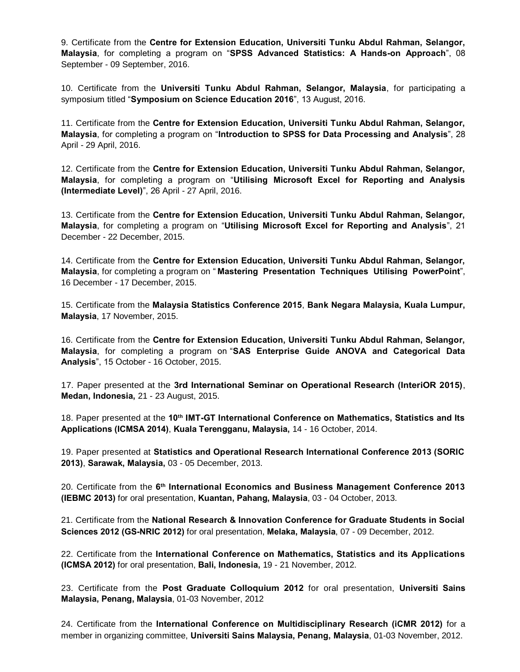9. Certificate from the **Centre for Extension Education, Universiti Tunku Abdul Rahman, Selangor, Malaysia**, for completing a program on "**SPSS Advanced Statistics: A Hands-on Approach**", 08 September - 09 September, 2016.

10. Certificate from the **Universiti Tunku Abdul Rahman, Selangor, Malaysia**, for participating a symposium titled "**Symposium on Science Education 2016**", 13 August, 2016.

11. Certificate from the **Centre for Extension Education, Universiti Tunku Abdul Rahman, Selangor, Malaysia**, for completing a program on "**Introduction to SPSS for Data Processing and Analysis**", 28 April - 29 April, 2016.

12. Certificate from the **Centre for Extension Education, Universiti Tunku Abdul Rahman, Selangor, Malaysia**, for completing a program on "**Utilising Microsoft Excel for Reporting and Analysis (Intermediate Level)**", 26 April - 27 April, 2016.

13. Certificate from the **Centre for Extension Education, Universiti Tunku Abdul Rahman, Selangor, Malaysia**, for completing a program on "**Utilising Microsoft Excel for Reporting and Analysis**", 21 December - 22 December, 2015.

14. Certificate from the **Centre for Extension Education, Universiti Tunku Abdul Rahman, Selangor, Malaysia**, for completing a program on " **Mastering Presentation Techniques Utilising PowerPoint**", 16 December - 17 December, 2015.

15. Certificate from the **Malaysia Statistics Conference 2015**, **Bank Negara Malaysia, Kuala Lumpur, Malaysia**, 17 November, 2015.

16. Certificate from the **Centre for Extension Education, Universiti Tunku Abdul Rahman, Selangor, Malaysia**, for completing a program on "**SAS Enterprise Guide ANOVA and Categorical Data Analysis**", 15 October - 16 October, 2015.

17. Paper presented at the **3rd International Seminar on Operational Research (InteriOR 2015)**, **Medan, Indonesia,** 21 - 23 August, 2015.

18. Paper presented at the **10th IMT-GT International Conference on Mathematics, Statistics and Its Applications (ICMSA 2014)**, **Kuala Terengganu, Malaysia,** 14 - 16 October, 2014.

19. Paper presented at **Statistics and Operational Research International Conference 2013 (SORIC 2013)**, **Sarawak, Malaysia,** 03 - 05 December, 2013.

20. Certificate from the **6 th International Economics and Business Management Conference 2013 (IEBMC 2013)** for oral presentation, **Kuantan, Pahang, Malaysia**, 03 - 04 October, 2013.

21. Certificate from the **National Research & Innovation Conference for Graduate Students in Social Sciences 2012 (GS-NRIC 2012)** for oral presentation, **Melaka, Malaysia**, 07 - 09 December, 2012.

22. Certificate from the **International Conference on Mathematics, Statistics and its Applications (ICMSA 2012)** for oral presentation, **Bali, Indonesia,** 19 - 21 November, 2012.

23. Certificate from the **Post Graduate Colloquium 2012** for oral presentation, **Universiti Sains Malaysia, Penang, Malaysia**, 01-03 November, 2012

24. Certificate from the **International Conference on Multidisciplinary Research (iCMR 2012)** for a member in organizing committee, **Universiti Sains Malaysia, Penang, Malaysia**, 01-03 November, 2012.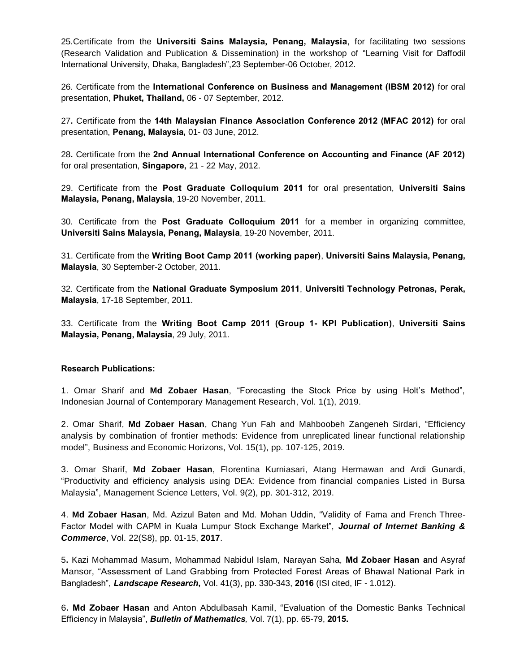25.Certificate from the **Universiti Sains Malaysia, Penang, Malaysia**, for facilitating two sessions (Research Validation and Publication & Dissemination) in the workshop of "Learning Visit for Daffodil International University, Dhaka, Bangladesh",23 September-06 October, 2012.

26. Certificate from the **International Conference on Business and Management (IBSM 2012)** for oral presentation, **Phuket, Thailand,** 06 - 07 September, 2012.

27**.** Certificate from the **14th Malaysian Finance Association Conference 2012 (MFAC 2012)** for oral presentation, **Penang, Malaysia,** 01- 03 June, 2012.

28**.** Certificate from the **2nd Annual International Conference on Accounting and Finance (AF 2012)**  for oral presentation, **Singapore,** 21 - 22 May, 2012.

29. Certificate from the **Post Graduate Colloquium 2011** for oral presentation, **Universiti Sains Malaysia, Penang, Malaysia**, 19-20 November, 2011.

30. Certificate from the **Post Graduate Colloquium 2011** for a member in organizing committee, **Universiti Sains Malaysia, Penang, Malaysia**, 19-20 November, 2011.

31. Certificate from the **Writing Boot Camp 2011 (working paper)**, **Universiti Sains Malaysia, Penang, Malaysia**, 30 September-2 October, 2011.

32. Certificate from the **National Graduate Symposium 2011**, **Universiti Technology Petronas, Perak, Malaysia**, 17-18 September, 2011.

33. Certificate from the **Writing Boot Camp 2011 (Group 1- KPI Publication)**, **Universiti Sains Malaysia, Penang, Malaysia**, 29 July, 2011.

### **Research Publications:**

1. Omar Sharif and **Md Zobaer Hasan**, "Forecasting the Stock Price by using Holt's Method", Indonesian Journal of Contemporary Management Research, Vol. 1(1), 2019.

2. Omar Sharif, **Md Zobaer Hasan**, Chang Yun Fah and Mahboobeh Zangeneh Sirdari, "Efficiency analysis by combination of frontier methods: Evidence from unreplicated linear functional relationship model", Business and Economic Horizons, Vol. 15(1), pp. 107-125, 2019.

3. Omar Sharif, **Md Zobaer Hasan**, Florentina Kurniasari, Atang Hermawan and Ardi Gunardi, "Productivity and efficiency analysis using DEA: Evidence from financial companies Listed in Bursa Malaysia", Management Science Letters, Vol. 9(2), pp. 301-312, 2019.

4. **Md Zobaer Hasan**, Md. Azizul Baten and Md. Mohan Uddin, "Validity of Fama and French Three-Factor Model with CAPM in Kuala Lumpur Stock Exchange Market", *Journal of Internet Banking & Commerce*, Vol. 22(S8), pp. 01-15, **2017**.

5**.** Kazi Mohammad Masum, Mohammad Nabidul Islam, Narayan Saha, **Md Zobaer Hasan a**nd Asyraf Mansor, "Assessment of Land Grabbing from Protected Forest Areas of Bhawal National Park in Bangladesh", *Landscape Research***,** Vol. 41(3), pp. 330-343, **2016** (ISI cited, IF - 1.012).

6**. Md Zobaer Hasan** and Anton Abdulbasah Kamil, "Evaluation of the Domestic Banks Technical Efficiency in Malaysia", *Bulletin of Mathematics,* Vol. 7(1), pp. 65-79, **2015.**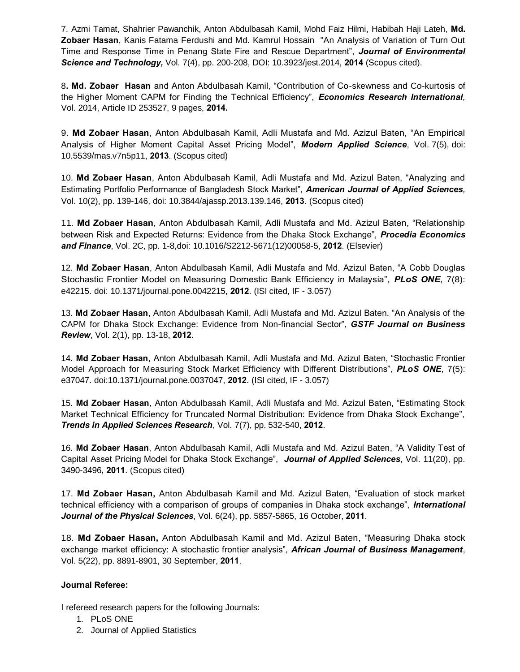7. Azmi Tamat, Shahrier Pawanchik, Anton Abdulbasah Kamil, Mohd Faiz Hilmi, Habibah Haji Lateh, **Md. Zobaer Hasan**, Kanis Fatama Ferdushi and Md. Kamrul Hossain "An Analysis of Variation of Turn Out Time and Response Time in Penang State Fire and Rescue Department", *Journal of Environmental Science and Technology,* Vol. 7(4), pp. 200-208, DOI: 10.3923/jest.2014, **2014** (Scopus cited).

8**. Md. Zobaer Hasan** and Anton Abdulbasah Kamil, "Contribution of Co-skewness and Co-kurtosis of the Higher Moment CAPM for Finding the Technical Efficiency", *Economics Research International,*  Vol. 2014, Article ID 253527, 9 pages, **2014.**

9. **Md Zobaer Hasan**, Anton Abdulbasah Kamil, Adli Mustafa and Md. Azizul Baten, "An Empirical Analysis of Higher Moment Capital Asset Pricing Model", *Modern Applied Science*, Vol. 7(5), doi: 10.5539/mas.v7n5p11, **2013**. (Scopus cited)

10. **Md Zobaer Hasan**, Anton Abdulbasah Kamil, Adli Mustafa and Md. Azizul Baten, "Analyzing and Estimating Portfolio Performance of Bangladesh Stock Market", *American Journal of Applied Sciences,*  Vol. 10(2), pp. 139-146, doi: 10.3844/ajassp.2013.139.146, **2013***.* (Scopus cited)

11. **Md Zobaer Hasan**, Anton Abdulbasah Kamil, Adli Mustafa and Md. Azizul Baten, "Relationship between Risk and Expected Returns: Evidence from the Dhaka Stock Exchange", *Procedia Economics and Finance*, Vol. 2C, pp. 1-8,doi: 10.1016/S2212-5671(12)00058-5, **2012**. (Elsevier)

12. **Md Zobaer Hasan**, Anton Abdulbasah Kamil, Adli Mustafa and Md. Azizul Baten, "A Cobb Douglas Stochastic Frontier Model on Measuring Domestic Bank Efficiency in Malaysia", *PLoS ONE*, 7(8): e42215. [doi: 10.1371/journal.pone.0042215,](http://dx.plos.org/doi:%2010.1371/journal.pone.0042215) **2012**. (ISI cited, IF - 3.057)

13. **Md Zobaer Hasan**, Anton Abdulbasah Kamil, Adli Mustafa and Md. Azizul Baten, "An Analysis of the CAPM for Dhaka Stock Exchange: Evidence from Non-financial Sector", *GSTF Journal on Business Review*, Vol. 2(1), pp. 13-18, **2012**.

14. **Md Zobaer Hasan**, Anton Abdulbasah Kamil, Adli Mustafa and Md. Azizul Baten, "Stochastic Frontier Model Approach for Measuring Stock Market Efficiency with Different Distributions", *PLoS ONE*, 7(5): e37047. doi:10.1371/journal.pone.0037047, **2012**. (ISI cited, IF - 3.057)

15. **Md Zobaer Hasan**, Anton Abdulbasah Kamil, Adli Mustafa and Md. Azizul Baten, "Estimating Stock Market Technical Efficiency for Truncated Normal Distribution: Evidence from Dhaka Stock Exchange", *Trends in Applied Sciences Research*, Vol. 7(7), pp. 532-540, **2012**.

16. **Md Zobaer Hasan**, Anton Abdulbasah Kamil, Adli Mustafa and Md. Azizul Baten, "A Validity Test of Capital Asset Pricing Model for Dhaka Stock Exchange", *Journal of Applied Sciences*, Vol. 11(20), pp. 3490-3496, **2011**. (Scopus cited)

17. **Md Zobaer Hasan,** Anton Abdulbasah Kamil and Md. Azizul Baten, "Evaluation of stock market technical efficiency with a comparison of groups of companies in Dhaka stock exchange", *International Journal of the Physical Sciences*, Vol. 6(24), pp. 5857-5865, 16 October, **2011**.

18. **Md Zobaer Hasan,** Anton Abdulbasah Kamil and Md. Azizul Baten, "Measuring Dhaka stock exchange market efficiency: A stochastic frontier analysis", *African Journal of Business Management*, Vol. 5(22), pp. 8891-8901, 30 September, **2011**.

## **Journal Referee:**

I refereed research papers for the following Journals:

- 1. PLoS ONE
- 2. Journal of Applied Statistics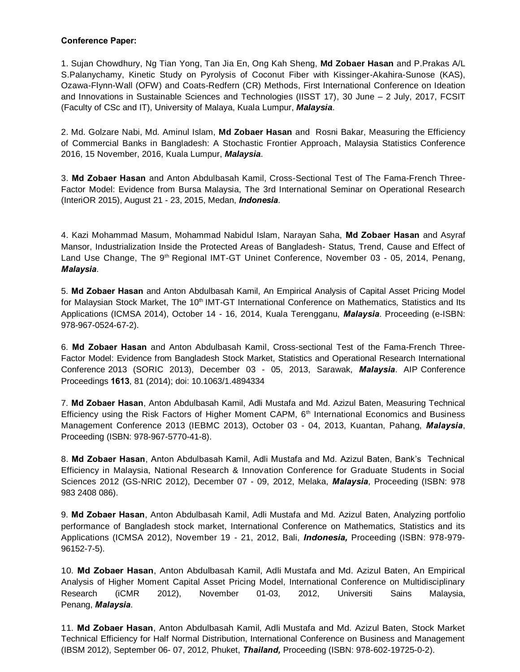### **Conference Paper:**

1. Sujan Chowdhury, Ng Tian Yong, Tan Jia En, Ong Kah Sheng, **Md Zobaer Hasan** and P.Prakas A/L S.Palanychamy, Kinetic Study on Pyrolysis of Coconut Fiber with Kissinger-Akahira-Sunose (KAS), Ozawa-Flynn-Wall (OFW) and Coats-Redfern (CR) Methods, First International Conference on Ideation and Innovations in Sustainable Sciences and Technologies (IISST 17), 30 June – 2 July, 2017, FCSIT (Faculty of CSc and IT), University of Malaya, Kuala Lumpur, *Malaysia*.

2. Md. Golzare Nabi, Md. Aminul Islam, **Md Zobaer Hasan** and Rosni Bakar, Measuring the Efficiency of Commercial Banks in Bangladesh: A Stochastic Frontier Approach, Malaysia Statistics Conference 2016, 15 November, 2016, Kuala Lumpur, *Malaysia*.

3. **Md Zobaer Hasan** and Anton Abdulbasah Kamil, Cross-Sectional Test of The Fama-French Three-Factor Model: Evidence from Bursa Malaysia, The 3rd International Seminar on Operational Research (InteriOR 2015), August 21 - 23, 2015, Medan, *Indonesia*.

4. Kazi Mohammad Masum, Mohammad Nabidul Islam, Narayan Saha, **Md Zobaer Hasan** and Asyraf Mansor, Industrialization Inside the Protected Areas of Bangladesh- Status, Trend, Cause and Effect of Land Use Change, The 9<sup>th</sup> Regional IMT-GT Uninet Conference, November 03 - 05, 2014, Penang, *Malaysia*.

5. **Md Zobaer Hasan** and Anton Abdulbasah Kamil, An Empirical Analysis of Capital Asset Pricing Model for Malaysian Stock Market, The 10<sup>th</sup> IMT-GT International Conference on Mathematics, Statistics and Its Applications (ICMSA 2014), October 14 - 16, 2014, Kuala Terengganu, *Malaysia*. Proceeding (e-ISBN: 978-967-0524-67-2).

6. **Md Zobaer Hasan** and Anton Abdulbasah Kamil, Cross-sectional Test of the Fama-French Three-Factor Model: Evidence from Bangladesh Stock Market, Statistics and Operational Research International Conference 2013 (SORIC 2013), December 03 - 05, 2013, Sarawak, *Malaysia*. AIP Conference Proceedings **1613**, 81 (2014); doi: 10.1063/1.4894334

7. **Md Zobaer Hasan**, Anton Abdulbasah Kamil, Adli Mustafa and Md. Azizul Baten, Measuring Technical Efficiency using the Risk Factors of Higher Moment CAPM,  $6<sup>th</sup>$  International Economics and Business Management Conference 2013 (IEBMC 2013), October 03 - 04, 2013, Kuantan, Pahang, *Malaysia*, Proceeding (ISBN: 978-967-5770-41-8).

8. **Md Zobaer Hasan**, Anton Abdulbasah Kamil, Adli Mustafa and Md. Azizul Baten, Bank's Technical Efficiency in Malaysia, National Research & Innovation Conference for Graduate Students in Social Sciences 2012 (GS-NRIC 2012), December 07 - 09, 2012, Melaka, *Malaysia*, Proceeding (ISBN: 978 983 2408 086).

9. **Md Zobaer Hasan**, Anton Abdulbasah Kamil, Adli Mustafa and Md. Azizul Baten, Analyzing portfolio performance of Bangladesh stock market, International Conference on Mathematics, Statistics and its Applications (ICMSA 2012), November 19 - 21, 2012, Bali, *Indonesia,* Proceeding (ISBN: 978-979- 96152-7-5).

10. **Md Zobaer Hasan**, Anton Abdulbasah Kamil, Adli Mustafa and Md. Azizul Baten, An Empirical Analysis of Higher Moment Capital Asset Pricing Model, International Conference on Multidisciplinary Research (iCMR 2012), November 01-03, 2012, Universiti Sains Malaysia, Penang, *Malaysia*.

11. **Md Zobaer Hasan**, Anton Abdulbasah Kamil, Adli Mustafa and Md. Azizul Baten, Stock Market Technical Efficiency for Half Normal Distribution, International Conference on Business and Management (IBSM 2012), September 06- 07, 2012, Phuket, *Thailand,* Proceeding (ISBN: 978-602-19725-0-2).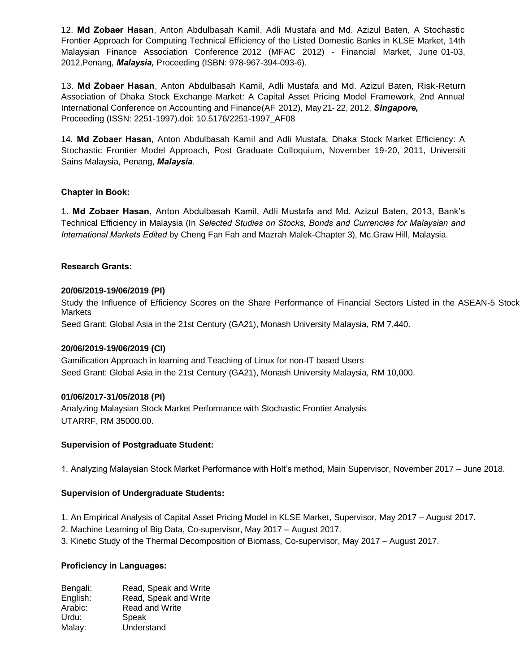12. **Md Zobaer Hasan**, Anton Abdulbasah Kamil, Adli Mustafa and Md. Azizul Baten, A Stochastic Frontier [Approach](javascript:void(0);) for Computing [Technical Efficiency of](javascript:void(0);) the Listed Domestic Banks in KLSE Market, 14th Malaysian Finance Association Conference 2012 (MFAC 2012) - Financial Market, June 01-03, 2012,Penang, *Malaysia,* Proceeding (ISBN: 978-967-394-093-6).

13. **Md Zobaer Hasan**, Anton Abdulbasah Kamil, Adli Mustafa and Md. Azizul Baten, Risk-Return Association of Dhaka Stock Exchange Market: A Capital Asset Pricing Model Framework, 2nd Annual International Conference on Accounting and Finance(AF 2012), May 21- 22, 2012, *Singapore,* Proceeding (ISSN: 2251-1997).doi: 10.5176/2251-1997\_AF08

14. **Md Zobaer Hasan**, Anton Abdulbasah Kamil and Adli Mustafa, Dhaka Stock Market Efficiency: A Stochastic Frontier Model Approach, Post Graduate Colloquium, November 19-20, 2011, Universiti Sains Malaysia, Penang, *Malaysia*.

## **Chapter in Book:**

1. **Md Zobaer Hasan**, Anton Abdulbasah Kamil, Adli Mustafa and Md. Azizul Baten, 2013, Bank's Technical Efficiency in Malaysia (In *Selected Studies on Stocks, Bonds and Currencies for Malaysian and International Markets Edited* by Cheng Fan Fah and Mazrah Malek-Chapter 3), Mc.Graw Hill, Malaysia.

# **Research Grants:**

## **20/06/2019-19/06/2019 (PI)**

Study the Influence of Efficiency Scores on the Share Performance of Financial Sectors Listed in the ASEAN-5 Stock Markets

Seed Grant: Global Asia in the 21st Century (GA21), Monash University Malaysia, RM 7,440.

## **20/06/2019-19/06/2019 (CI)**

Gamification Approach in learning and Teaching of Linux for non-IT based Users Seed Grant: Global Asia in the 21st Century (GA21), Monash University Malaysia, RM 10,000.

## **01/06/2017-31/05/2018 (PI)**

Analyzing Malaysian Stock Market Performance with Stochastic Frontier Analysis UTARRF, RM 35000.00.

## **Supervision of Postgraduate Student:**

1. Analyzing Malaysian Stock Market Performance with Holt's method, Main Supervisor, November 2017 – June 2018.

## **Supervision of Undergraduate Students:**

- 1. An Empirical Analysis of Capital Asset Pricing Model in KLSE Market, Supervisor, May 2017 August 2017.
- 2. Machine Learning of Big Data, Co-supervisor, May 2017 August 2017.
- 3. Kinetic Study of the Thermal Decomposition of Biomass, Co-supervisor, May 2017 August 2017.

# **Proficiency in Languages:**

Bengali: Read, Speak and Write English: Read, Speak and Write Arabic: Read and Write Urdu: Speak Malay: Understand